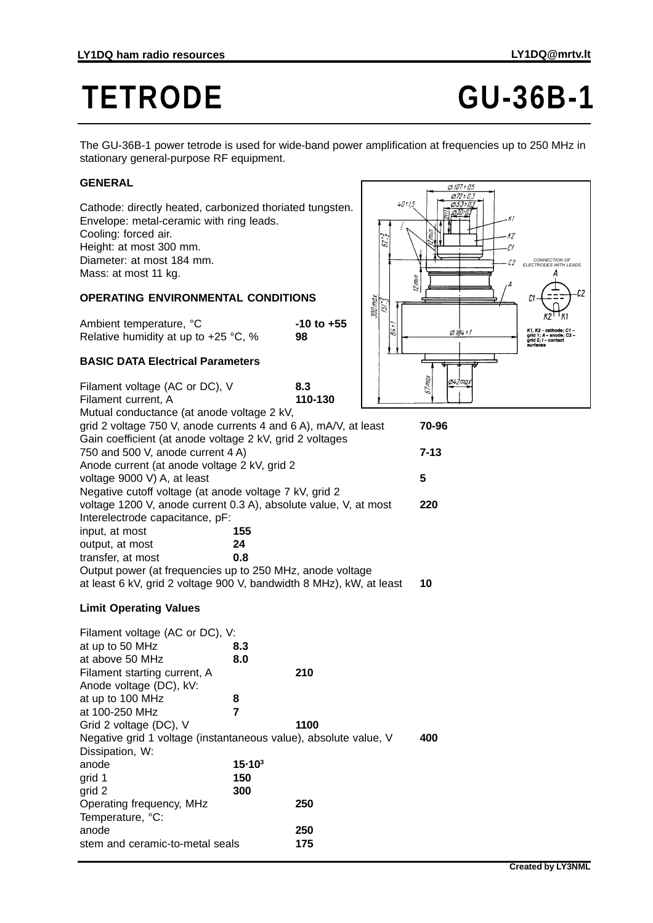# **TETRODE GU-36B-1**

The GU-36B-1 power tetrode is used for wide-band power amplification at frequencies up to 250 MHz in stationary general-purpose RF equipment.

## **GENERAL**

Cathode: directly heated, carbonized thoriated tungsten. Envelope: metal-ceramic with ring leads. Cooling: forced air. Height: at most 300 mm. Diameter: at most 184 mm. Mass: at most 11 kg.

### **OPERATING ENVIRONMENTAL CONDITIONS**

| Ambient temperature, °C                | -10 to +55 |
|----------------------------------------|------------|
| Relative humidity at up to $+25$ °C, % | 98         |

### **BASIC DATA Electrical Parameters**

| Filament voltage (AC or DC), V                                      | 8.3     | ñИ       |
|---------------------------------------------------------------------|---------|----------|
| Filament current, A                                                 | 110-130 |          |
| Mutual conductance (at anode voltage 2 kV,                          |         |          |
| grid 2 voltage 750 V, anode currents 4 and 6 A), mA/V, at least     |         | 70-96    |
| Gain coefficient (at anode voltage 2 kV, grid 2 voltages            |         |          |
| 750 and 500 V, anode current 4 A)                                   |         | $7 - 13$ |
| Anode current (at anode voltage 2 kV, grid 2                        |         |          |
| voltage 9000 V) A, at least                                         |         | 5        |
| Negative cutoff voltage (at anode voltage 7 kV, grid 2              |         |          |
| voltage 1200 V, anode current 0.3 A), absolute value, V, at most    |         | 220      |
| Interelectrode capacitance, pF:                                     |         |          |
| input, at most<br>155                                               |         |          |
| output, at most<br>24                                               |         |          |
| transfer, at most<br>0.8                                            |         |          |
| Output power (at frequencies up to 250 MHz, anode voltage           |         |          |
| at least 6 kV, grid 2 voltage 900 V, bandwidth 8 MHz), kW, at least |         | 10       |
|                                                                     |         |          |

#### **Limit Operating Values**

| Filament voltage (AC or DC), V:                                  |                    |      |     |
|------------------------------------------------------------------|--------------------|------|-----|
| at up to 50 MHz                                                  | 8.3                |      |     |
| at above 50 MHz                                                  | 8.0                |      |     |
| Filament starting current, A                                     |                    | 210  |     |
| Anode voltage (DC), kV:                                          |                    |      |     |
| at up to 100 MHz                                                 | 8                  |      |     |
| at 100-250 MHz                                                   | 7                  |      |     |
| Grid 2 voltage (DC), V                                           |                    | 1100 |     |
| Negative grid 1 voltage (instantaneous value), absolute value, V |                    |      | 400 |
| Dissipation, W:                                                  |                    |      |     |
| anode                                                            | 15.10 <sup>3</sup> |      |     |
| grid 1                                                           | 150                |      |     |
| grid 2                                                           | 300                |      |     |
| Operating frequency, MHz                                         |                    | 250  |     |
| Temperature, °C:                                                 |                    |      |     |
| anode                                                            |                    | 250  |     |
| stem and ceramic-to-metal seals                                  |                    | 175  |     |
|                                                                  |                    |      |     |